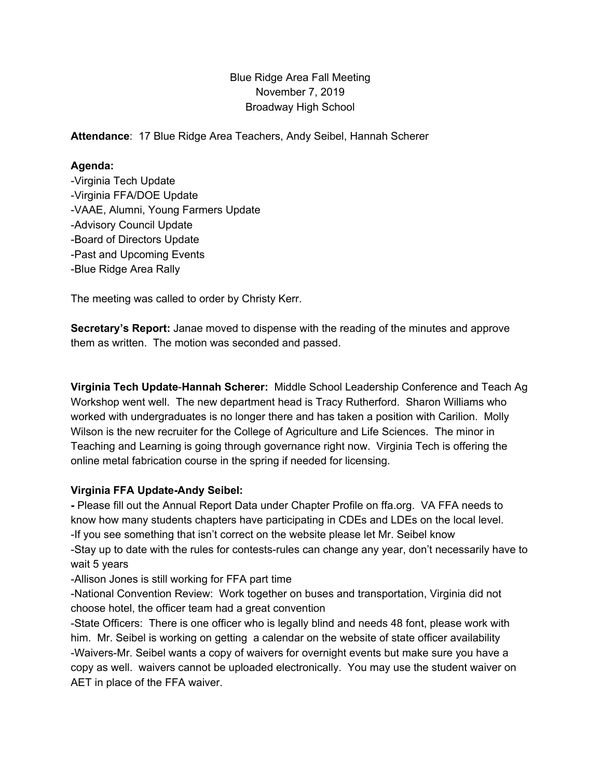# Blue Ridge Area Fall Meeting November 7, 2019 Broadway High School

**Attendance**: 17 Blue Ridge Area Teachers, Andy Seibel, Hannah Scherer

### **Agenda:**

-Virginia Tech Update -Virginia FFA/DOE Update -VAAE, Alumni, Young Farmers Update -Advisory Council Update -Board of Directors Update -Past and Upcoming Events -Blue Ridge Area Rally

The meeting was called to order by Christy Kerr.

**Secretary's Report:** Janae moved to dispense with the reading of the minutes and approve them as written. The motion was seconded and passed.

**Virginia Tech Update**-**Hannah Scherer:** Middle School Leadership Conference and Teach Ag Workshop went well. The new department head is Tracy Rutherford. Sharon Williams who worked with undergraduates is no longer there and has taken a position with Carilion. Molly Wilson is the new recruiter for the College of Agriculture and Life Sciences. The minor in Teaching and Learning is going through governance right now. Virginia Tech is offering the online metal fabrication course in the spring if needed for licensing.

## **Virginia FFA Update-Andy Seibel:**

**-** Please fill out the Annual Report Data under Chapter Profile on ffa.org. VA FFA needs to know how many students chapters have participating in CDEs and LDEs on the local level. -If you see something that isn't correct on the website please let Mr. Seibel know -Stay up to date with the rules for contests-rules can change any year, don't necessarily have to wait 5 years

-Allison Jones is still working for FFA part time

-National Convention Review: Work together on buses and transportation, Virginia did not choose hotel, the officer team had a great convention

-State Officers: There is one officer who is legally blind and needs 48 font, please work with him. Mr. Seibel is working on getting a calendar on the website of state officer availability -Waivers-Mr. Seibel wants a copy of waivers for overnight events but make sure you have a copy as well. waivers cannot be uploaded electronically. You may use the student waiver on AET in place of the FFA waiver.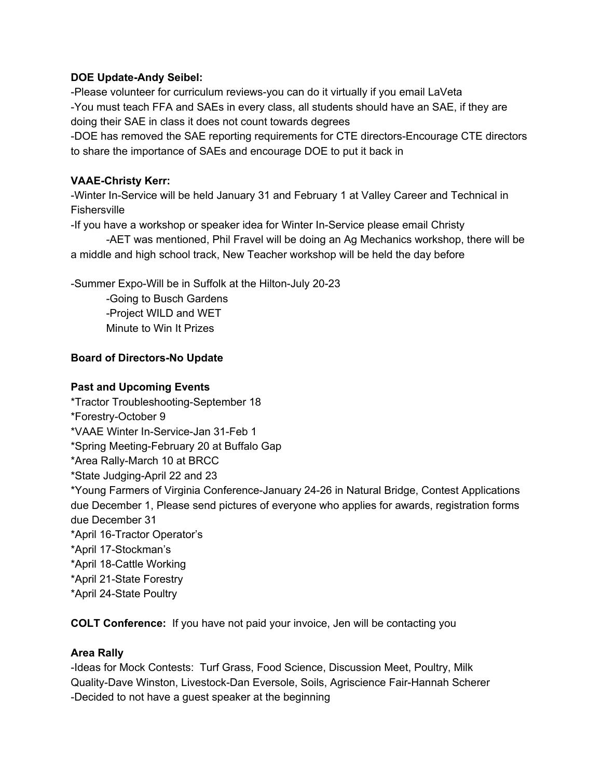### **DOE Update-Andy Seibel:**

-Please volunteer for curriculum reviews-you can do it virtually if you email LaVeta -You must teach FFA and SAEs in every class, all students should have an SAE, if they are doing their SAE in class it does not count towards degrees

-DOE has removed the SAE reporting requirements for CTE directors-Encourage CTE directors to share the importance of SAEs and encourage DOE to put it back in

### **VAAE-Christy Kerr:**

-Winter In-Service will be held January 31 and February 1 at Valley Career and Technical in **Fishersville** 

-If you have a workshop or speaker idea for Winter In-Service please email Christy

-AET was mentioned, Phil Fravel will be doing an Ag Mechanics workshop, there will be a middle and high school track, New Teacher workshop will be held the day before

-Summer Expo-Will be in Suffolk at the Hilton-July 20-23

-Going to Busch Gardens -Project WILD and WET Minute to Win It Prizes

## **Board of Directors-No Update**

### **Past and Upcoming Events**

\*Tractor Troubleshooting-September 18 \*Forestry-October 9 \*VAAE Winter In-Service-Jan 31-Feb 1 \*Spring Meeting-February 20 at Buffalo Gap \*Area Rally-March 10 at BRCC \*State Judging-April 22 and 23 \*Young Farmers of Virginia Conference-January 24-26 in Natural Bridge, Contest Applications due December 1, Please send pictures of everyone who applies for awards, registration forms due December 31 \*April 16-Tractor Operator's \*April 17-Stockman's \*April 18-Cattle Working \*April 21-State Forestry \*April 24-State Poultry

**COLT Conference:** If you have not paid your invoice, Jen will be contacting you

## **Area Rally**

-Ideas for Mock Contests: Turf Grass, Food Science, Discussion Meet, Poultry, Milk Quality-Dave Winston, Livestock-Dan Eversole, Soils, Agriscience Fair-Hannah Scherer -Decided to not have a guest speaker at the beginning